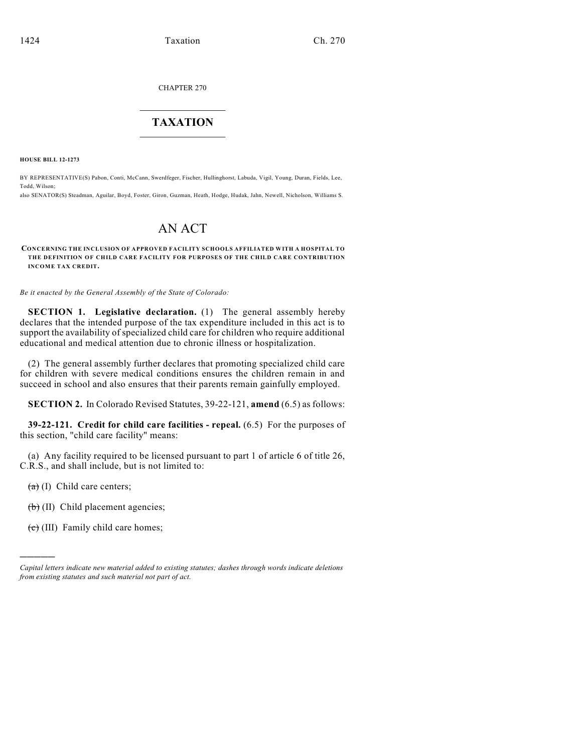CHAPTER 270

## $\mathcal{L}_\text{max}$  . The set of the set of the set of the set of the set of the set of the set of the set of the set of the set of the set of the set of the set of the set of the set of the set of the set of the set of the set **TAXATION**  $\_$

**HOUSE BILL 12-1273**

BY REPRESENTATIVE(S) Pabon, Conti, McCann, Swerdfeger, Fischer, Hullinghorst, Labuda, Vigil, Young, Duran, Fields, Lee, Todd, Wilson;

also SENATOR(S) Steadman, Aguilar, Boyd, Foster, Giron, Guzman, Heath, Hodge, Hudak, Jahn, Newell, Nicholson, Williams S.

## AN ACT

**CONCERNING THE INCLUSION OF APPROVED FACILITY SCHOOLS AFFILIATED WITH A HOSPITAL TO THE DEFINITION OF CHILD CARE FACILITY FOR PURPOSES OF THE CHILD CARE CONTRIBUTION INCOME TAX CREDIT.**

*Be it enacted by the General Assembly of the State of Colorado:*

**SECTION 1. Legislative declaration.** (1) The general assembly hereby declares that the intended purpose of the tax expenditure included in this act is to support the availability of specialized child care for children who require additional educational and medical attention due to chronic illness or hospitalization.

(2) The general assembly further declares that promoting specialized child care for children with severe medical conditions ensures the children remain in and succeed in school and also ensures that their parents remain gainfully employed.

**SECTION 2.** In Colorado Revised Statutes, 39-22-121, **amend** (6.5) as follows:

**39-22-121. Credit for child care facilities - repeal.** (6.5) For the purposes of this section, "child care facility" means:

(a) Any facility required to be licensed pursuant to part 1 of article 6 of title 26, C.R.S., and shall include, but is not limited to:

 $(a)$  (I) Child care centers;

)))))

 $\left(\overline{\mathbf{b}}\right)$  (II) Child placement agencies;

 $(e)$  (III) Family child care homes;

*Capital letters indicate new material added to existing statutes; dashes through words indicate deletions from existing statutes and such material not part of act.*